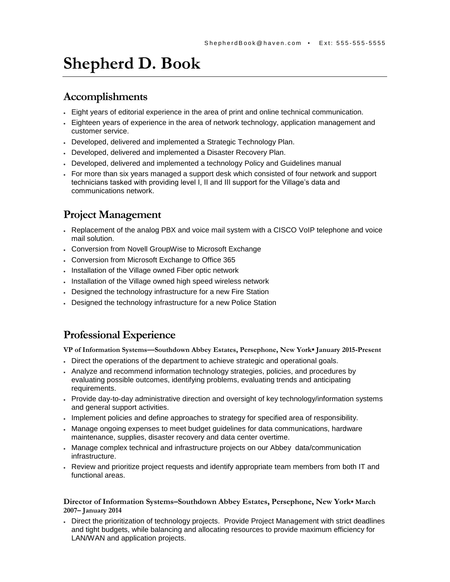# **Shepherd D. Book**

### **Accomplishments**

- Eight years of editorial experience in the area of print and online technical communication.
- Eighteen years of experience in the area of network technology, application management and customer service.
- Developed, delivered and implemented a Strategic Technology Plan.
- Developed, delivered and implemented a Disaster Recovery Plan.
- Developed, delivered and implemented a technology Policy and Guidelines manual
- For more than six years managed a support desk which consisted of four network and support technicians tasked with providing level I, II and III support for the Village's data and communications network.

### **Project Management**

- Replacement of the analog PBX and voice mail system with a CISCO VoIP telephone and voice mail solution.
- Conversion from Novell GroupWise to Microsoft Exchange
- Conversion from Microsoft Exchange to Office 365
- . Installation of the Village owned Fiber optic network
- Installation of the Village owned high speed wireless network
- Designed the technology infrastructure for a new Fire Station
- Designed the technology infrastructure for a new Police Station

#### **Professional Experience**

**VP of Information Systems—Southdown Abbey Estates, Persephone, New York▪ January 2015-Present**

- Direct the operations of the department to achieve strategic and operational goals.
- Analyze and recommend information technology strategies, policies, and procedures by evaluating possible outcomes, identifying problems, evaluating trends and anticipating requirements.
- Provide day-to-day administrative direction and oversight of key technology/information systems and general support activities.
- Implement policies and define approaches to strategy for specified area of responsibility.
- Manage ongoing expenses to meet budget guidelines for data communications, hardware maintenance, supplies, disaster recovery and data center overtime.
- Manage complex technical and infrastructure projects on our Abbey data/communication infrastructure.
- Review and prioritize project requests and identify appropriate team members from both IT and functional areas.

#### **Director of Information Systems–Southdown Abbey Estates, Persephone, New York**▪ **March 2007– January 2014**

 Direct the prioritization of technology projects. Provide Project Management with strict deadlines and tight budgets, while balancing and allocating resources to provide maximum efficiency for LAN/WAN and application projects.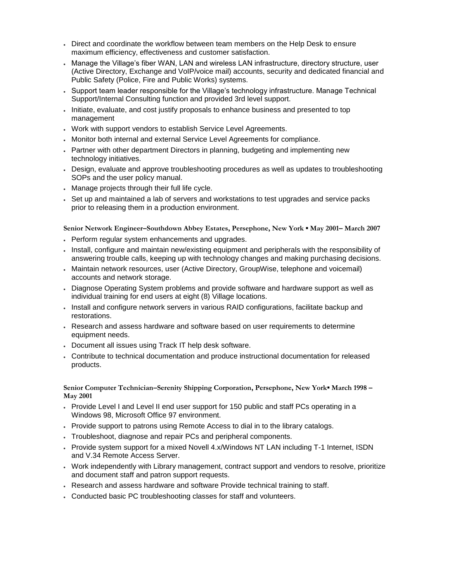- Direct and coordinate the workflow between team members on the Help Desk to ensure maximum efficiency, effectiveness and customer satisfaction.
- Manage the Village's fiber WAN, LAN and wireless LAN infrastructure, directory structure, user (Active Directory, Exchange and VoIP/voice mail) accounts, security and dedicated financial and Public Safety (Police, Fire and Public Works) systems.
- Support team leader responsible for the Village's technology infrastructure. Manage Technical Support/Internal Consulting function and provided 3rd level support.
- Initiate, evaluate, and cost justify proposals to enhance business and presented to top management
- Work with support vendors to establish Service Level Agreements.
- Monitor both internal and external Service Level Agreements for compliance.
- Partner with other department Directors in planning, budgeting and implementing new technology initiatives.
- Design, evaluate and approve troubleshooting procedures as well as updates to troubleshooting SOPs and the user policy manual.
- Manage projects through their full life cycle.
- Set up and maintained a lab of servers and workstations to test upgrades and service packs prior to releasing them in a production environment.

**Senior Network Engineer–Southdown Abbey Estates, Persephone, New York ▪ May 2001– March 2007**

- Perform regular system enhancements and upgrades.
- Install, configure and maintain new/existing equipment and peripherals with the responsibility of answering trouble calls, keeping up with technology changes and making purchasing decisions.
- Maintain network resources, user (Active Directory, GroupWise, telephone and voicemail) accounts and network storage.
- Diagnose Operating System problems and provide software and hardware support as well as individual training for end users at eight (8) Village locations.
- Install and configure network servers in various RAID configurations, facilitate backup and restorations.
- Research and assess hardware and software based on user requirements to determine equipment needs.
- Document all issues using Track IT help desk software.
- Contribute to technical documentation and produce instructional documentation for released products.

**Senior Computer Technician–Serenity Shipping Corporation, Persephone, New York▪ March 1998 – May 2001**

- Provide Level I and Level II end user support for 150 public and staff PCs operating in a Windows 98, Microsoft Office 97 environment.
- Provide support to patrons using Remote Access to dial in to the library catalogs.
- Troubleshoot, diagnose and repair PCs and peripheral components.
- Provide system support for a mixed Novell 4.x/Windows NT LAN including T-1 Internet, ISDN and V.34 Remote Access Server.
- Work independently with Library management, contract support and vendors to resolve, prioritize and document staff and patron support requests.
- Research and assess hardware and software Provide technical training to staff.
- Conducted basic PC troubleshooting classes for staff and volunteers.